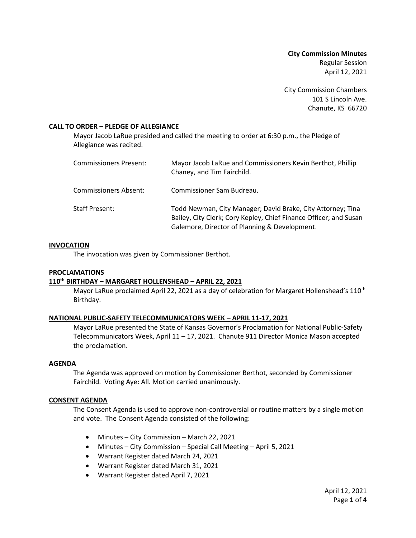**City Commission Minutes** Regular Session April 12, 2021

City Commission Chambers 101 S Lincoln Ave. Chanute, KS 66720

### **CALL TO ORDER – PLEDGE OF ALLEGIANCE**

Mayor Jacob LaRue presided and called the meeting to order at 6:30 p.m., the Pledge of Allegiance was recited.

| Commissioners Present: | Mayor Jacob LaRue and Commissioners Kevin Berthot, Phillip<br>Chaney, and Tim Fairchild.                                                                                          |
|------------------------|-----------------------------------------------------------------------------------------------------------------------------------------------------------------------------------|
| Commissioners Absent:  | Commissioner Sam Budreau.                                                                                                                                                         |
| Staff Present:         | Todd Newman, City Manager; David Brake, City Attorney; Tina<br>Bailey, City Clerk; Cory Kepley, Chief Finance Officer; and Susan<br>Galemore, Director of Planning & Development. |

#### **INVOCATION**

The invocation was given by Commissioner Berthot.

#### **PROCLAMATIONS**

#### **110th BIRTHDAY – MARGARET HOLLENSHEAD – APRIL 22, 2021**

Mayor LaRue proclaimed April 22, 2021 as a day of celebration for Margaret Hollenshead's 110<sup>th</sup> Birthday.

### **NATIONAL PUBLIC-SAFETY TELECOMMUNICATORS WEEK – APRIL 11-17, 2021**

Mayor LaRue presented the State of Kansas Governor's Proclamation for National Public-Safety Telecommunicators Week, April 11 – 17, 2021. Chanute 911 Director Monica Mason accepted the proclamation.

#### **AGENDA**

The Agenda was approved on motion by Commissioner Berthot, seconded by Commissioner Fairchild. Voting Aye: All. Motion carried unanimously.

#### **CONSENT AGENDA**

The Consent Agenda is used to approve non-controversial or routine matters by a single motion and vote. The Consent Agenda consisted of the following:

- Minutes City Commission March 22, 2021
- Minutes City Commission Special Call Meeting April 5, 2021
- Warrant Register dated March 24, 2021
- Warrant Register dated March 31, 2021
- Warrant Register dated April 7, 2021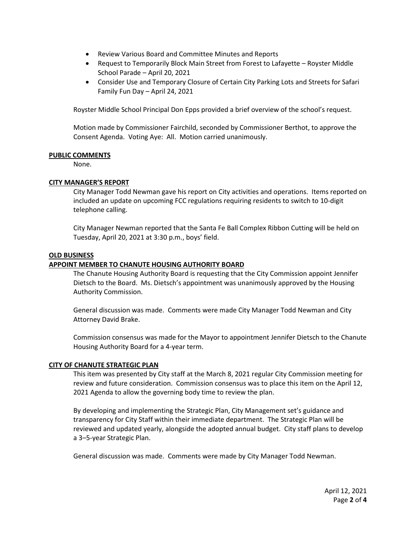- Review Various Board and Committee Minutes and Reports
- Request to Temporarily Block Main Street from Forest to Lafayette Royster Middle School Parade – April 20, 2021
- Consider Use and Temporary Closure of Certain City Parking Lots and Streets for Safari Family Fun Day – April 24, 2021

Royster Middle School Principal Don Epps provided a brief overview of the school's request.

Motion made by Commissioner Fairchild, seconded by Commissioner Berthot, to approve the Consent Agenda. Voting Aye: All. Motion carried unanimously.

### **PUBLIC COMMENTS**

None.

### **CITY MANAGER'S REPORT**

City Manager Todd Newman gave his report on City activities and operations. Items reported on included an update on upcoming FCC regulations requiring residents to switch to 10-digit telephone calling.

City Manager Newman reported that the Santa Fe Ball Complex Ribbon Cutting will be held on Tuesday, April 20, 2021 at 3:30 p.m., boys' field.

### **OLD BUSINESS**

### **APPOINT MEMBER TO CHANUTE HOUSING AUTHORITY BOARD**

The Chanute Housing Authority Board is requesting that the City Commission appoint Jennifer Dietsch to the Board. Ms. Dietsch's appointment was unanimously approved by the Housing Authority Commission.

General discussion was made. Comments were made City Manager Todd Newman and City Attorney David Brake.

Commission consensus was made for the Mayor to appointment Jennifer Dietsch to the Chanute Housing Authority Board for a 4-year term.

### **CITY OF CHANUTE STRATEGIC PLAN**

This item was presented by City staff at the March 8, 2021 regular City Commission meeting for review and future consideration. Commission consensus was to place this item on the April 12, 2021 Agenda to allow the governing body time to review the plan.

By developing and implementing the Strategic Plan, City Management set's guidance and transparency for City Staff within their immediate department. The Strategic Plan will be reviewed and updated yearly, alongside the adopted annual budget. City staff plans to develop a 3–5-year Strategic Plan.

General discussion was made. Comments were made by City Manager Todd Newman.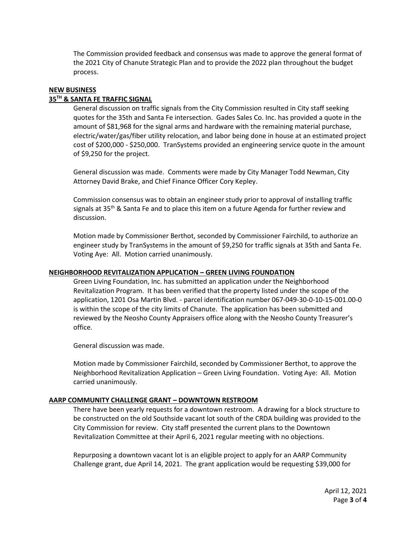The Commission provided feedback and consensus was made to approve the general format of the 2021 City of Chanute Strategic Plan and to provide the 2022 plan throughout the budget process.

## **NEW BUSINESS**

### **35TH & SANTA FE TRAFFIC SIGNAL**

General discussion on traffic signals from the City Commission resulted in City staff seeking quotes for the 35th and Santa Fe intersection. Gades Sales Co. Inc. has provided a quote in the amount of \$81,968 for the signal arms and hardware with the remaining material purchase, electric/water/gas/fiber utility relocation, and labor being done in house at an estimated project cost of \$200,000 - \$250,000. TranSystems provided an engineering service quote in the amount of \$9,250 for the project.

General discussion was made. Comments were made by City Manager Todd Newman, City Attorney David Brake, and Chief Finance Officer Cory Kepley.

Commission consensus was to obtain an engineer study prior to approval of installing traffic signals at 35<sup>th</sup> & Santa Fe and to place this item on a future Agenda for further review and discussion.

Motion made by Commissioner Berthot, seconded by Commissioner Fairchild, to authorize an engineer study by TranSystems in the amount of \$9,250 for traffic signals at 35th and Santa Fe. Voting Aye: All. Motion carried unanimously.

#### **NEIGHBORHOOD REVITALIZATION APPLICATION – GREEN LIVING FOUNDATION**

Green Living Foundation, Inc. has submitted an application under the Neighborhood Revitalization Program. It has been verified that the property listed under the scope of the application, 1201 Osa Martin Blvd. - parcel identification number 067-049-30-0-10-15-001.00-0 is within the scope of the city limits of Chanute. The application has been submitted and reviewed by the Neosho County Appraisers office along with the Neosho County Treasurer's office.

General discussion was made.

Motion made by Commissioner Fairchild, seconded by Commissioner Berthot, to approve the Neighborhood Revitalization Application – Green Living Foundation. Voting Aye: All. Motion carried unanimously.

### **AARP COMMUNITY CHALLENGE GRANT – DOWNTOWN RESTROOM**

There have been yearly requests for a downtown restroom. A drawing for a block structure to be constructed on the old Southside vacant lot south of the CRDA building was provided to the City Commission for review. City staff presented the current plans to the Downtown Revitalization Committee at their April 6, 2021 regular meeting with no objections.

Repurposing a downtown vacant lot is an eligible project to apply for an AARP Community Challenge grant, due April 14, 2021. The grant application would be requesting \$39,000 for